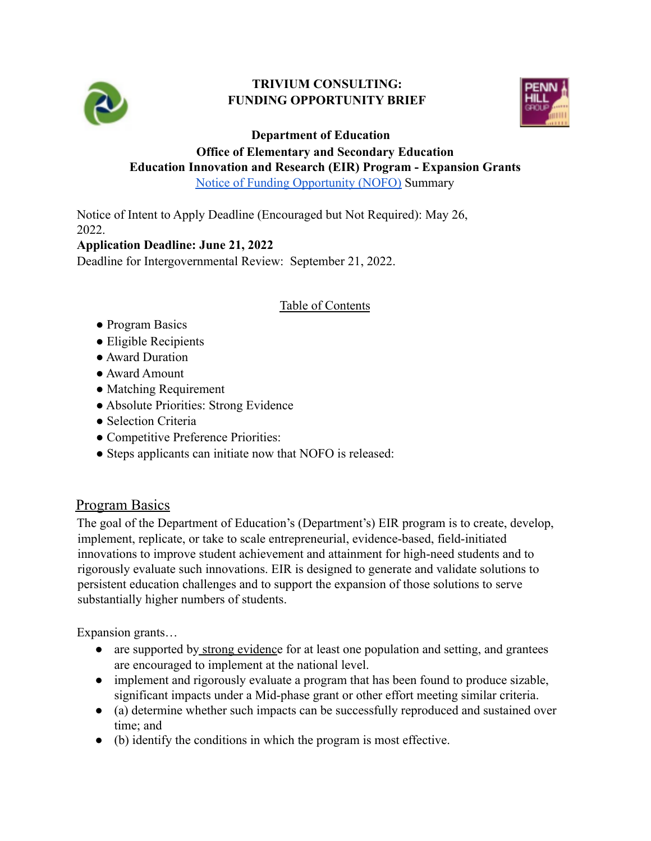

#### **TRIVIUM CONSULTING: FUNDING OPPORTUNITY BRIEF**



**Department of Education**

# **Office of Elementary and Secondary Education Education Innovation and Research (EIR) Program - Expansion Grants**

[Notice of Funding Opportunity \(NOFO\)](https://www.grants.gov/web/grants/view-opportunity.html?oppId=339810) Summary

Notice of Intent to Apply Deadline (Encouraged but Not Required): May 26, 2022.

#### **Application Deadline: June 21, 2022**

Deadline for Intergovernmental Review: September 21, 2022.

#### Table of Contents

- Program Basics
- Eligible Recipients
- Award Duration
- Award Amount
- Matching Requirement
- Absolute Priorities: Strong Evidence
- Selection Criteria
- Competitive Preference Priorities:
- Steps applicants can initiate now that NOFO is released:

# Program Basics

The goal of the Department of Education's (Department's) EIR program is to create, develop, implement, replicate, or take to scale entrepreneurial, evidence-based, field-initiated innovations to improve student achievement and attainment for high-need students and to rigorously evaluate such innovations. EIR is designed to generate and validate solutions to persistent education challenges and to support the expansion of those solutions to serve substantially higher numbers of students.

Expansion grants…

- are supported by strong evidence for at least one population and setting, and grantees are encouraged to implement at the national level.
- implement and rigorously evaluate a program that has been found to produce sizable, significant impacts under a Mid-phase grant or other effort meeting similar criteria.
- (a) determine whether such impacts can be successfully reproduced and sustained over time; and
- (b) identify the conditions in which the program is most effective.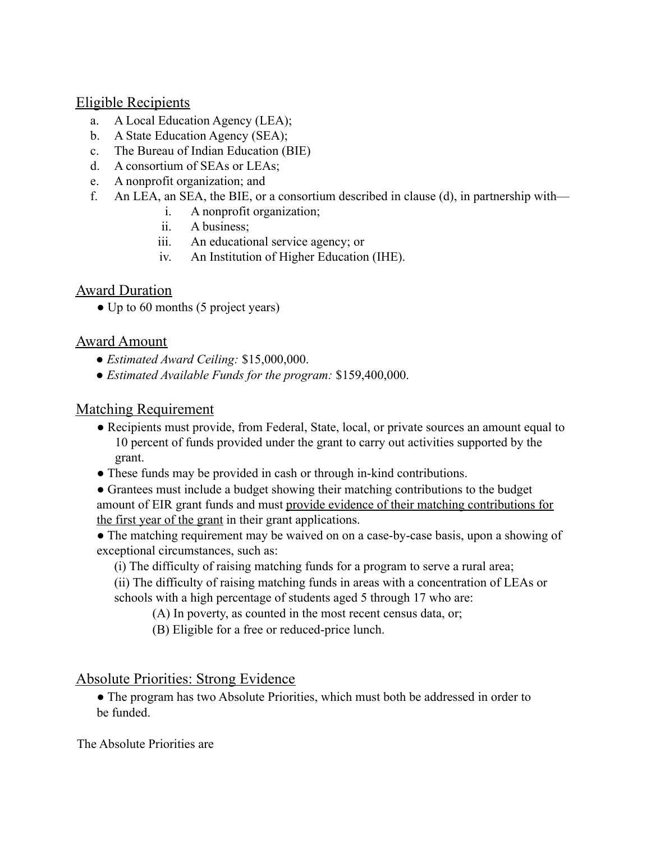#### Eligible Recipients

- a. A Local Education Agency (LEA);
- b. A State Education Agency (SEA);
- c. The Bureau of Indian Education (BIE)
- d. A consortium of SEAs or LEAs;
- e. A nonprofit organization; and
- f. An LEA, an SEA, the BIE, or a consortium described in clause (d), in partnership with
	- i. A nonprofit organization;
	- ii. A business;
	- iii. An educational service agency; or
	- iv. An Institution of Higher Education (IHE).

## **Award Duration**

• Up to 60 months (5 project years)

## Award Amount

- *Estimated Award Ceiling:* \$15,000,000.
- *Estimated Available Funds for the program:* \$159,400,000.

## Matching Requirement

- Recipients must provide, from Federal, State, local, or private sources an amount equal to 10 percent of funds provided under the grant to carry out activities supported by the grant.
- These funds may be provided in cash or through in-kind contributions.
- Grantees must include a budget showing their matching contributions to the budget amount of EIR grant funds and must provide evidence of their matching contributions for the first year of the grant in their grant applications.
- The matching requirement may be waived on on a case-by-case basis, upon a showing of exceptional circumstances, such as:
	- (i) The difficulty of raising matching funds for a program to serve a rural area;
	- (ii) The difficulty of raising matching funds in areas with a concentration of LEAs or schools with a high percentage of students aged 5 through 17 who are:
		- (A) In poverty, as counted in the most recent census data, or;
		- (B) Eligible for a free or reduced-price lunch.

## Absolute Priorities: Strong Evidence

• The program has two Absolute Priorities, which must both be addressed in order to be funded.

The Absolute Priorities are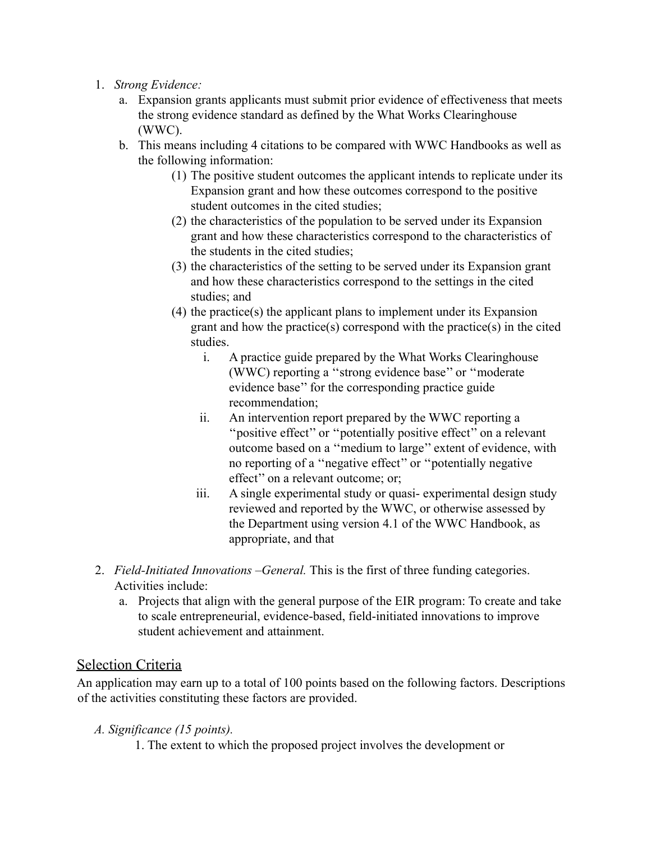- 1. *Strong Evidence:*
	- a. Expansion grants applicants must submit prior evidence of effectiveness that meets the strong evidence standard as defined by the What Works Clearinghouse (WWC).
	- b. This means including 4 citations to be compared with WWC Handbooks as well as the following information:
		- (1) The positive student outcomes the applicant intends to replicate under its Expansion grant and how these outcomes correspond to the positive student outcomes in the cited studies;
		- (2) the characteristics of the population to be served under its Expansion grant and how these characteristics correspond to the characteristics of the students in the cited studies;
		- (3) the characteristics of the setting to be served under its Expansion grant and how these characteristics correspond to the settings in the cited studies; and
		- (4) the practice(s) the applicant plans to implement under its Expansion grant and how the practice(s) correspond with the practice(s) in the cited studies.
			- i. A practice guide prepared by the What Works Clearinghouse (WWC) reporting a ''strong evidence base'' or ''moderate evidence base'' for the corresponding practice guide recommendation;
			- ii. An intervention report prepared by the WWC reporting a ''positive effect'' or ''potentially positive effect'' on a relevant outcome based on a ''medium to large'' extent of evidence, with no reporting of a ''negative effect'' or ''potentially negative effect'' on a relevant outcome; or;
			- iii. A single experimental study or quasi- experimental design study reviewed and reported by the WWC, or otherwise assessed by the Department using version 4.1 of the WWC Handbook, as appropriate, and that
- 2. *Field-Initiated Innovations –General.* This is the first of three funding categories. Activities include:
	- a. Projects that align with the general purpose of the EIR program: To create and take to scale entrepreneurial, evidence-based, field-initiated innovations to improve student achievement and attainment.

## Selection Criteria

An application may earn up to a total of 100 points based on the following factors. Descriptions of the activities constituting these factors are provided.

- *A. Significance (15 points).*
	- 1. The extent to which the proposed project involves the development or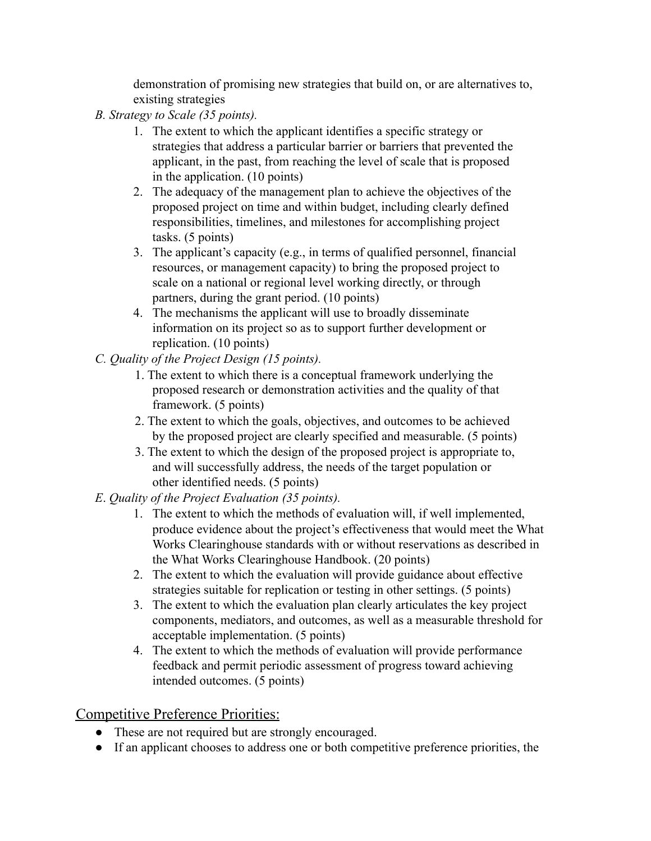demonstration of promising new strategies that build on, or are alternatives to, existing strategies

- *B. Strategy to Scale (35 points).*
	- 1. The extent to which the applicant identifies a specific strategy or strategies that address a particular barrier or barriers that prevented the applicant, in the past, from reaching the level of scale that is proposed in the application. (10 points)
	- 2. The adequacy of the management plan to achieve the objectives of the proposed project on time and within budget, including clearly defined responsibilities, timelines, and milestones for accomplishing project tasks. (5 points)
	- 3. The applicant's capacity (e.g., in terms of qualified personnel, financial resources, or management capacity) to bring the proposed project to scale on a national or regional level working directly, or through partners, during the grant period. (10 points)
	- 4. The mechanisms the applicant will use to broadly disseminate information on its project so as to support further development or replication. (10 points)
- *C. Quality of the Project Design (15 points).*
	- 1. The extent to which there is a conceptual framework underlying the proposed research or demonstration activities and the quality of that framework. (5 points)
	- 2. The extent to which the goals, objectives, and outcomes to be achieved by the proposed project are clearly specified and measurable. (5 points)
	- 3. The extent to which the design of the proposed project is appropriate to, and will successfully address, the needs of the target population or other identified needs. (5 points)
- *E*. *Quality of the Project Evaluation (35 points).*
	- 1. The extent to which the methods of evaluation will, if well implemented, produce evidence about the project's effectiveness that would meet the What Works Clearinghouse standards with or without reservations as described in the What Works Clearinghouse Handbook. (20 points)
	- 2. The extent to which the evaluation will provide guidance about effective strategies suitable for replication or testing in other settings. (5 points)
	- 3. The extent to which the evaluation plan clearly articulates the key project components, mediators, and outcomes, as well as a measurable threshold for acceptable implementation. (5 points)
	- 4. The extent to which the methods of evaluation will provide performance feedback and permit periodic assessment of progress toward achieving intended outcomes. (5 points)

# Competitive Preference Priorities:

- These are not required but are strongly encouraged.
- If an applicant chooses to address one or both competitive preference priorities, the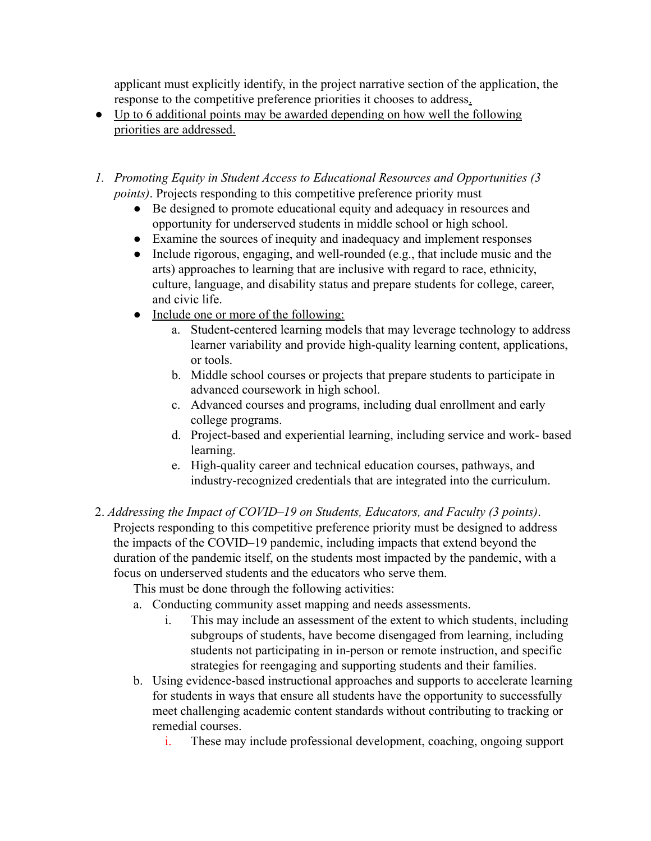applicant must explicitly identify, in the project narrative section of the application, the response to the competitive preference priorities it chooses to address.

- Up to 6 additional points may be awarded depending on how well the following priorities are addressed.
- *1. Promoting Equity in Student Access to Educational Resources and Opportunities (3 points*). Projects responding to this competitive preference priority must
	- Be designed to promote educational equity and adequacy in resources and opportunity for underserved students in middle school or high school.
	- Examine the sources of inequity and inadequacy and implement responses
	- Include rigorous, engaging, and well-rounded (e.g., that include music and the arts) approaches to learning that are inclusive with regard to race, ethnicity, culture, language, and disability status and prepare students for college, career, and civic life.
	- Include one or more of the following:
		- a. Student-centered learning models that may leverage technology to address learner variability and provide high-quality learning content, applications, or tools.
		- b. Middle school courses or projects that prepare students to participate in advanced coursework in high school.
		- c. Advanced courses and programs, including dual enrollment and early college programs.
		- d. Project-based and experiential learning, including service and work- based learning.
		- e. High-quality career and technical education courses, pathways, and industry-recognized credentials that are integrated into the curriculum.
- 2. *Addressing the Impact of COVID–19 on Students, Educators, and Faculty (3 points)*. Projects responding to this competitive preference priority must be designed to address the impacts of the COVID–19 pandemic, including impacts that extend beyond the duration of the pandemic itself, on the students most impacted by the pandemic, with a focus on underserved students and the educators who serve them.

This must be done through the following activities:

- a. Conducting community asset mapping and needs assessments.
	- i. This may include an assessment of the extent to which students, including subgroups of students, have become disengaged from learning, including students not participating in in-person or remote instruction, and specific strategies for reengaging and supporting students and their families.
- b. Using evidence-based instructional approaches and supports to accelerate learning for students in ways that ensure all students have the opportunity to successfully meet challenging academic content standards without contributing to tracking or remedial courses.
	- i. These may include professional development, coaching, ongoing support